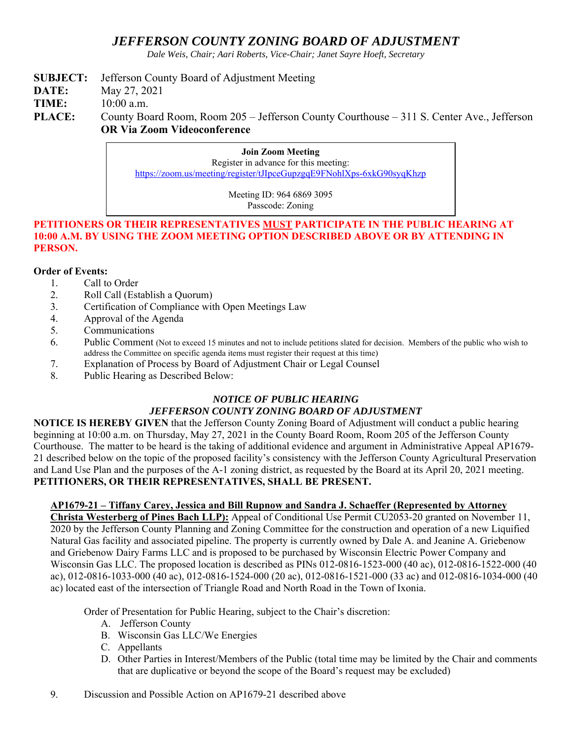# *JEFFERSON COUNTY ZONING BOARD OF ADJUSTMENT*

*Dale Weis, Chair; Aari Roberts, Vice-Chair; Janet Sayre Hoeft, Secretary* 

## **SUBJECT:** Jefferson County Board of Adjustment Meeting

**DATE:** May 27, 2021

**TIME:** 10:00 a.m.

PLACE: County Board Room, Room 205 – Jefferson County Courthouse – 311 S. Center Ave., Jefferson **OR Via Zoom Videoconference** 

> **Join Zoom Meeting**  Register in advance for this meeting: https://zoom.us/meeting/register/tJIpceGupzgqE9FNohlXps-6xkG90syqKhzp

> > Meeting ID: 964 6869 3095 Passcode: Zoning

#### **PETITIONERS OR THEIR REPRESENTATIVES MUST PARTICIPATE IN THE PUBLIC HEARING AT 10:00 A.M. BY USING THE ZOOM MEETING OPTION DESCRIBED ABOVE OR BY ATTENDING IN PERSON.**

### **Order of Events:**

- 1. Call to Order
- 2. Roll Call (Establish a Quorum)
- 3. Certification of Compliance with Open Meetings Law
- 4. Approval of the Agenda
- 5. Communications
- 6. Public Comment (Not to exceed 15 minutes and not to include petitions slated for decision. Members of the public who wish to address the Committee on specific agenda items must register their request at this time)
- 7. Explanation of Process by Board of Adjustment Chair or Legal Counsel
- 8. Public Hearing as Described Below:

### *NOTICE OF PUBLIC HEARING JEFFERSON COUNTY ZONING BOARD OF ADJUSTMENT*

**NOTICE IS HEREBY GIVEN** that the Jefferson County Zoning Board of Adjustment will conduct a public hearing beginning at 10:00 a.m. on Thursday, May 27, 2021 in the County Board Room, Room 205 of the Jefferson County Courthouse. The matter to be heard is the taking of additional evidence and argument in Administrative Appeal AP1679- 21 described below on the topic of the proposed facility's consistency with the Jefferson County Agricultural Preservation and Land Use Plan and the purposes of the A-1 zoning district, as requested by the Board at its April 20, 2021 meeting. **PETITIONERS, OR THEIR REPRESENTATIVES, SHALL BE PRESENT.** 

### **AP1679-21 – Tiffany Carey, Jessica and Bill Rupnow and Sandra J. Schaeffer (Represented by Attorney**

**Christa Westerberg of Pines Bach LLP):** Appeal of Conditional Use Permit CU2053-20 granted on November 11, 2020 by the Jefferson County Planning and Zoning Committee for the construction and operation of a new Liquified Natural Gas facility and associated pipeline. The property is currently owned by Dale A. and Jeanine A. Griebenow and Griebenow Dairy Farms LLC and is proposed to be purchased by Wisconsin Electric Power Company and Wisconsin Gas LLC. The proposed location is described as PINs 012-0816-1523-000 (40 ac), 012-0816-1522-000 (40 ac), 012-0816-1033-000 (40 ac), 012-0816-1524-000 (20 ac), 012-0816-1521-000 (33 ac) and 012-0816-1034-000 (40 ac) located east of the intersection of Triangle Road and North Road in the Town of Ixonia.

Order of Presentation for Public Hearing, subject to the Chair's discretion:

- A. Jefferson County
- B. Wisconsin Gas LLC/We Energies
- C. Appellants
- D. Other Parties in Interest/Members of the Public (total time may be limited by the Chair and comments that are duplicative or beyond the scope of the Board's request may be excluded)
- 9. Discussion and Possible Action on AP1679-21 described above